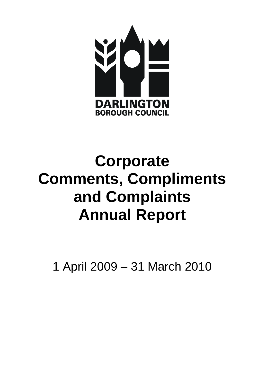

# **Corporate Comments, Compliments and Complaints Annual Report**

1 April 2009 – 31 March 2010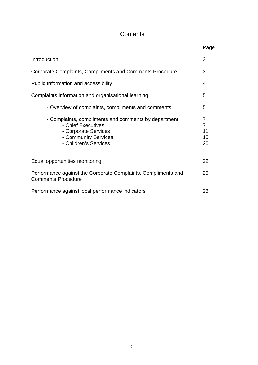# **Contents**

|                                                                                                                                                     | Page                     |
|-----------------------------------------------------------------------------------------------------------------------------------------------------|--------------------------|
| Introduction                                                                                                                                        | 3                        |
| Corporate Complaints, Compliments and Comments Procedure                                                                                            | 3                        |
| Public Information and accessibility                                                                                                                | 4                        |
| Complaints information and organisational learning                                                                                                  | 5                        |
| - Overview of complaints, compliments and comments                                                                                                  | 5                        |
| - Complaints, compliments and comments by department<br>- Chief Executives<br>- Corporate Services<br>- Community Services<br>- Children's Services | 7<br>7<br>11<br>15<br>20 |
| Equal opportunities monitoring                                                                                                                      | 22                       |
| Performance against the Corporate Complaints, Compliments and<br><b>Comments Procedure</b>                                                          | 25                       |
| Performance against local performance indicators                                                                                                    | 28                       |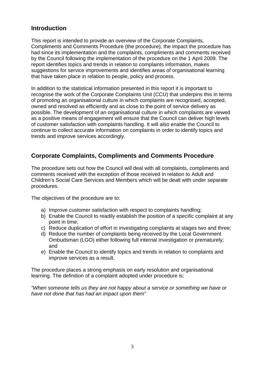# **Introduction**

This report is intended to provide an overview of the Corporate Complaints, Compliments and Comments Procedure (the procedure), the impact the procedure has had since its implementation and the complaints, compliments and comments received by the Council following the implementation of the procedure on the 1 April 2009. The report identifies topics and trends in relation to complaints information, makes suggestions for service improvements and identifies areas of organisational learning that have taken place in relation to people, policy and process.

In addition to the statistical information presented in this report it is important to recognise the work of the Corporate Complaints Unit (CCU) that underpins this in terms of promoting an organisational culture in which complaints are recognised, accepted, owned and resolved as efficiently and as close to the point of service delivery as possible. The development of an organisational culture in which complaints are viewed as a positive means of engagement will ensure that the Council can deliver high levels of customer satisfaction with complaints handling. It will also enable the Council to continue to collect accurate information on complaints in order to identify topics and trends and improve services accordingly.

# **Corporate Complaints, Compliments and Comments Procedure**

The procedure sets out how the Council will deal with all complaints, compliments and comments received with the exception of those received in relation to Adult and Children's Social Care Services and Members which will be dealt with under separate procedures.

The objectives of the procedure are to:

- a) Improve customer satisfaction with respect to complaints handling;
- b) Enable the Council to readily establish the position of a specific complaint at any point in time;
- c) Reduce duplication of effort in investigating complaints at stages two and three;
- d) Reduce the number of complaints being received by the Local Government Ombudsman (LGO) either following full internal investigation or prematurely; and
- e) Enable the Council to identify topics and trends in relation to complaints and improve services as a result.

The procedure places a strong emphasis on early resolution and organisational learning. The definition of a complaint adopted under procedure is:

*"When someone tells us they are not happy about a service or something we have or have not done that has had an impact upon them"*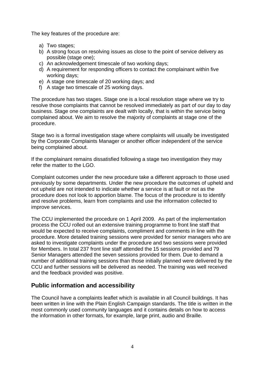The key features of the procedure are:

- a) Two stages;
- b) A strong focus on resolving issues as close to the point of service delivery as possible (stage one);
- c) An acknowledgement timescale of two working days;
- d) A requirement for responding officers to contact the complainant within five working days;
- e) A stage one timescale of 20 working days; and
- f) A stage two timescale of 25 working days.

The procedure has two stages. Stage one is a local resolution stage where we try to resolve those complaints that cannot be resolved immediately as part of our day to day business. Stage one complaints are dealt with locally, that is within the service being complained about. We aim to resolve the majority of complaints at stage one of the procedure.

Stage two is a formal investigation stage where complaints will usually be investigated by the Corporate Complaints Manager or another officer independent of the service being complained about.

If the complainant remains dissatisfied following a stage two investigation they may refer the matter to the LGO.

Complaint outcomes under the new procedure take a different approach to those used previously by some departments. Under the new procedure the outcomes of upheld and not upheld are not intended to indicate whether a service is at fault or not as the procedure does not look to apportion blame. The focus of the procedure is to identify and resolve problems, learn from complaints and use the information collected to improve services.

The CCU implemented the procedure on 1 April 2009. As part of the implementation process the CCU rolled out an extensive training programme to front line staff that would be expected to receive complaints, compliment and comments in line with the procedure. More detailed training sessions were provided for senior managers who are asked to investigate complaints under the procedure and two sessions were provided for Members. In total 237 front line staff attended the 15 sessions provided and 79 Senior Managers attended the seven sessions provided for them. Due to demand a number of additional training sessions than those initially planned were delivered by the CCU and further sessions will be delivered as needed. The training was well received and the feedback provided was positive.

# **Public information and accessibility**

The Council have a complaints leaflet which is available in all Council buildings. It has been written in line with the Plain English Campaign standards. The title is written in the most commonly used community languages and it contains details on how to access the information in other formats, for example, large print, audio and Braille.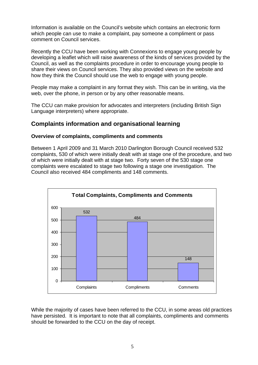Information is available on the Council's website which contains an electronic form which people can use to make a complaint, pay someone a compliment or pass comment on Council services.

Recently the CCU have been working with Connexions to engage young people by developing a leaflet which will raise awareness of the kinds of services provided by the Council, as well as the complaints procedure in order to encourage young people to share their views on Council services. They also provided views on the website and how they think the Council should use the web to engage with young people.

People may make a complaint in any format they wish. This can be in writing, via the web, over the phone, in person or by any other reasonable means.

The CCU can make provision for advocates and interpreters (including British Sign Language interpreters) where appropriate.

# **Complaints information and organisational learning**

#### **Overview of complaints, compliments and comments**

Between 1 April 2009 and 31 March 2010 Darlington Borough Council received 532 complaints, 530 of which were initially dealt with at stage one of the procedure, and two of which were initially dealt with at stage two. Forty seven of the 530 stage one complaints were escalated to stage two following a stage one investigation. The Council also received 484 compliments and 148 comments.



While the majority of cases have been referred to the CCU, in some areas old practices have persisted. It is important to note that all complaints, compliments and comments should be forwarded to the CCU on the day of receipt.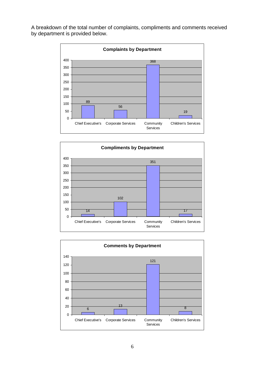A breakdown of the total number of complaints, compliments and comments received by department is provided below.





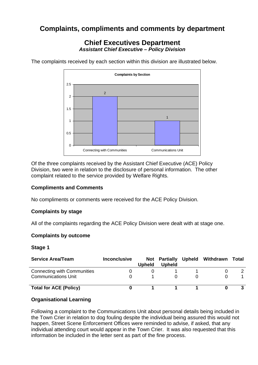# **Complaints, compliments and comments by department**

## **Chief Executives Department**  *Assistant Chief Executive – Policy Division*

The complaints received by each section within this division are illustrated below.



Of the three complaints received by the Assistant Chief Executive (ACE) Policy Division, two were in relation to the disclosure of personal information. The other complaint related to the service provided by Welfare Rights.

#### **Compliments and Comments**

No compliments or comments were received for the ACE Policy Division.

#### **Complaints by stage**

All of the complaints regarding the ACE Policy Division were dealt with at stage one.

#### **Complaints by outcome**

#### **Stage 1**

| <b>Service Area/Team</b>           | <b>Inconclusive</b> | Upheld | Not Partially<br><b>Upheld</b> | Upheld Withdrawn | Total |
|------------------------------------|---------------------|--------|--------------------------------|------------------|-------|
| <b>Connecting with Communities</b> |                     |        |                                |                  |       |
| <b>Communications Unit</b>         |                     |        |                                |                  |       |
| <b>Total for ACE (Policy)</b>      |                     |        |                                |                  |       |

#### **Organisational Learning**

Following a complaint to the Communications Unit about personal details being included in the Town Crier in relation to dog fouling despite the individual being assured this would not happen, Street Scene Enforcement Offices were reminded to advise, if asked, that any individual attending court would appear in the Town Crier. It was also requested that this information be included in the letter sent as part of the fine process.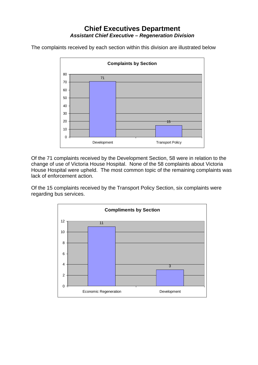# **Chief Executives Department**  *Assistant Chief Executive – Regeneration Division*

The complaints received by each section within this division are illustrated below



Of the 71 complaints received by the Development Section, 58 were in relation to the change of use of Victoria House Hospital. None of the 58 complaints about Victoria House Hospital were upheld. The most common topic of the remaining complaints was lack of enforcement action.

Of the 15 complaints received by the Transport Policy Section, six complaints were regarding bus services.

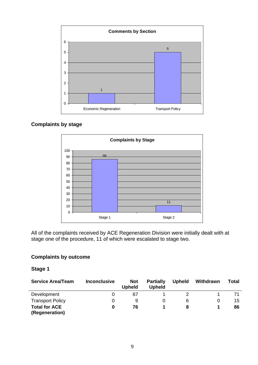

#### **Complaints by stage**



All of the complaints received by ACE Regeneration Division were initially dealt with at stage one of the procedure, 11 of which were escalated to stage two.

#### **Complaints by outcome**

#### **Stage 1**

| <b>Service Area/Team</b>               | <b>Inconclusive</b> | <b>Not</b><br><b>Upheld</b> | <b>Partially</b><br><b>Upheld</b> | <b>Upheld</b> | Withdrawn | Total |
|----------------------------------------|---------------------|-----------------------------|-----------------------------------|---------------|-----------|-------|
| Development                            |                     | 67                          |                                   |               |           |       |
| <b>Transport Policy</b>                |                     | 9                           |                                   | 6             |           | 15    |
| <b>Total for ACE</b><br>(Regeneration) | 0                   | 76                          |                                   | 8             |           | 86    |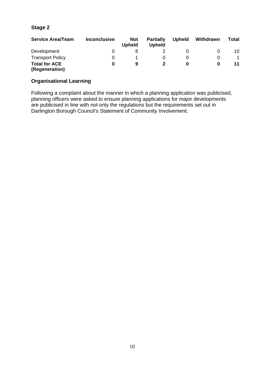#### **Stage 2**

| <b>Service Area/Team</b>               | <b>Inconclusive</b> | <b>Not</b><br><b>Upheld</b> | <b>Partially</b><br><b>Upheld</b> | <b>Upheld</b> | Withdrawn | Total |
|----------------------------------------|---------------------|-----------------------------|-----------------------------------|---------------|-----------|-------|
| Development                            |                     |                             |                                   |               |           | 10    |
| <b>Transport Policy</b>                |                     |                             |                                   |               |           |       |
| <b>Total for ACE</b><br>(Regeneration) |                     | 9                           |                                   | 0             |           | 11    |

#### **Organisational Learning**

Following a complaint about the manner in which a planning application was publicised, planning officers were asked to ensure planning applications for major developments are publicised in line with not only the regulations but the requirements set out in Darlington Borough Council's Statement of Community Involvement.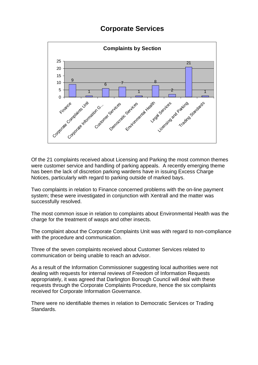# **Corporate Services**



Of the 21 complaints received about Licensing and Parking the most common themes were customer service and handling of parking appeals. A recently emerging theme has been the lack of discretion parking wardens have in issuing Excess Charge Notices, particularly with regard to parking outside of marked bays.

Two complaints in relation to Finance concerned problems with the on-line payment system; these were investigated in conjunction with Xentrall and the matter was successfully resolved.

The most common issue in relation to complaints about Environmental Health was the charge for the treatment of wasps and other insects.

The complaint about the Corporate Complaints Unit was with regard to non-compliance with the procedure and communication.

Three of the seven complaints received about Customer Services related to communication or being unable to reach an advisor.

As a result of the Information Commissioner suggesting local authorities were not dealing with requests for internal reviews of Freedom of Information Requests appropriately, it was agreed that Darlington Borough Council will deal with these requests through the Corporate Complaints Procedure, hence the six complaints received for Corporate Information Governance.

There were no identifiable themes in relation to Democratic Services or Trading Standards.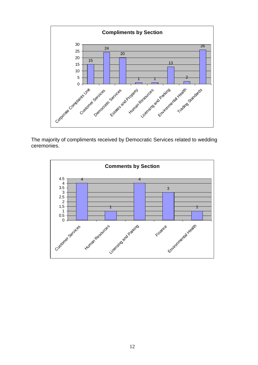

The majority of compliments received by Democratic Services related to wedding ceremonies.

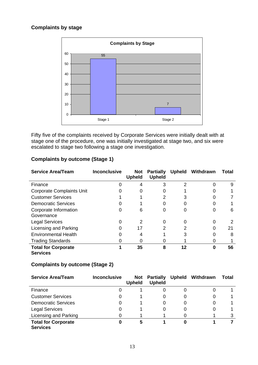#### **Complaints by stage**



Fifty five of the complaints received by Corporate Services were initially dealt with at stage one of the procedure, one was initially investigated at stage two, and six were escalated to stage two following a stage one investigation.

| <b>Service Area/Team</b>                      | <b>Inconclusive</b> | Not<br><b>Upheld</b> | <b>Partially</b><br><b>Upheld</b> | <b>Upheld</b> | Withdrawn | Total |
|-----------------------------------------------|---------------------|----------------------|-----------------------------------|---------------|-----------|-------|
| Finance                                       |                     | 4                    | 3                                 | 2             |           | 9     |
| <b>Corporate Complaints Unit</b>              | $\mathbf{\Omega}$   | 0                    | O                                 |               | O         |       |
| <b>Customer Services</b>                      |                     |                      | 2                                 | 3             |           |       |
| <b>Democratic Services</b>                    |                     |                      | O                                 |               |           |       |
| Corporate Information<br>Governance           | 0                   | 6                    | 0                                 | 0             | O         | 6     |
| <b>Legal Services</b>                         | O                   | 2                    | 0                                 | 0             | ი         | 2     |
| Licensing and Parking                         | 0                   | 17                   | 2                                 | 2             | 0         | 21    |
| <b>Environmental Health</b>                   |                     | 4                    |                                   | 3             |           | 8     |
| <b>Trading Standards</b>                      |                     | 0                    |                                   |               |           |       |
| <b>Total for Corporate</b><br><b>Services</b> |                     | 35                   | 8                                 | 12            | 0         | 56    |

#### **Complaints by outcome (Stage 1)**

#### **Complaints by outcome (Stage 2)**

| <b>Service Area/Team</b>                      | <b>Inconclusive</b> | Not<br><b>Upheld</b> | <b>Partially</b><br><b>Upheld</b> |   | Upheld Withdrawn | Total |
|-----------------------------------------------|---------------------|----------------------|-----------------------------------|---|------------------|-------|
| Finance                                       |                     |                      | O                                 | 0 |                  |       |
| <b>Customer Services</b>                      | O                   |                      | $\Omega$                          | 0 |                  |       |
| <b>Democratic Services</b>                    | 0                   |                      | O                                 | 0 |                  |       |
| <b>Legal Services</b>                         | 0                   |                      | 0                                 | 0 |                  |       |
| Licensing and Parking                         |                     |                      |                                   |   |                  |       |
| <b>Total for Corporate</b><br><b>Services</b> | 0                   | 5                    |                                   | 0 |                  |       |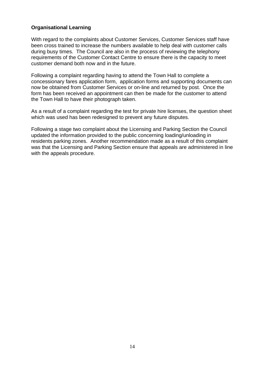#### **Organisational Learning**

With regard to the complaints about Customer Services, Customer Services staff have been cross trained to increase the numbers available to help deal with customer calls during busy times. The Council are also in the process of reviewing the telephony requirements of the Customer Contact Centre to ensure there is the capacity to meet customer demand both now and in the future.

Following a complaint regarding having to attend the Town Hall to complete a concessionary fares application form, application forms and supporting documents can now be obtained from Customer Services or on-line and returned by post. Once the form has been received an appointment can then be made for the customer to attend the Town Hall to have their photograph taken.

As a result of a complaint regarding the test for private hire licenses, the question sheet which was used has been redesigned to prevent any future disputes.

Following a stage two complaint about the Licensing and Parking Section the Council updated the information provided to the public concerning loading/unloading in residents parking zones. Another recommendation made as a result of this complaint was that the Licensing and Parking Section ensure that appeals are administered in line with the appeals procedure.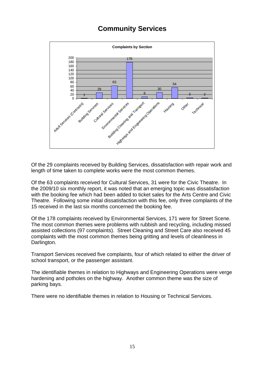# **Community Services**



Of the 29 complaints received by Building Services, dissatisfaction with repair work and length of time taken to complete works were the most common themes.

Of the 63 complaints received for Cultural Services, 31 were for the Civic Theatre. In the 2009/10 six monthly report, it was noted that an emerging topic was dissatisfaction with the booking fee which had been added to ticket sales for the Arts Centre and Civic Theatre. Following some initial dissatisfaction with this fee, only three complaints of the 15 received in the last six months concerned the booking fee.

Of the 178 complaints received by Environmental Services, 171 were for Street Scene. The most common themes were problems with rubbish and recycling, including missed assisted collections (97 complaints). Street Cleaning and Street Care also received 45 complaints with the most common themes being gritting and levels of cleanliness in Darlington.

Transport Services received five complaints, four of which related to either the driver of school transport, or the passenger assistant.

The identifiable themes in relation to Highways and Engineering Operations were verge hardening and potholes on the highway. Another common theme was the size of parking bays.

There were no identifiable themes in relation to Housing or Technical Services.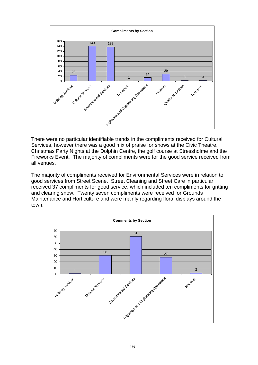

There were no particular identifiable trends in the compliments received for Cultural Services, however there was a good mix of praise for shows at the Civic Theatre, Christmas Party Nights at the Dolphin Centre, the golf course at Stressholme and the Fireworks Event. The majority of compliments were for the good service received from all venues.

The majority of compliments received for Environmental Services were in relation to good services from Street Scene. Street Cleaning and Street Care in particular received 37 compliments for good service, which included ten compliments for gritting and clearing snow. Twenty seven compliments were received for Grounds Maintenance and Horticulture and were mainly regarding floral displays around the town.

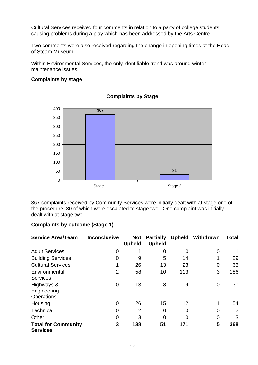Cultural Services received four comments in relation to a party of college students causing problems during a play which has been addressed by the Arts Centre.

Two comments were also received regarding the change in opening times at the Head of Steam Museum.

Within Environmental Services, the only identifiable trend was around winter maintenance issues.



#### **Complaints by stage**

367 complaints received by Community Services were initially dealt with at stage one of the procedure, 30 of which were escalated to stage two. One complaint was initially dealt with at stage two.

#### **Complaints by outcome (Stage 1)**

| <b>Service Area/Team</b>                      | <b>Inconclusive</b> | <b>Not</b><br><b>Upheld</b> | <b>Partially</b><br><b>Upheld</b> | <b>Upheld</b> | Withdrawn | <b>Total</b>   |
|-----------------------------------------------|---------------------|-----------------------------|-----------------------------------|---------------|-----------|----------------|
| <b>Adult Services</b>                         | 0                   |                             | $\overline{0}$                    | 0             | 0         |                |
| <b>Building Services</b>                      | 0                   | 9                           | 5                                 | 14            |           | 29             |
| <b>Cultural Services</b>                      | 1                   | 26                          | 13                                | 23            | 0         | 63             |
| Environmental<br><b>Services</b>              | 2                   | 58                          | 10                                | 113           | 3         | 186            |
| Highways &<br>Engineering<br>Operations       | $\overline{0}$      | 13                          | 8                                 | 9             | $\Omega$  | 30             |
| Housing                                       | 0                   | 26                          | 15                                | 12            |           | 54             |
| <b>Technical</b>                              | 0                   | $\overline{2}$              | 0                                 | 0             | 0         | $\overline{2}$ |
| Other                                         | 0                   | 3                           | 0                                 | 0             | 0         | 3              |
| <b>Total for Community</b><br><b>Services</b> | 3                   | 138                         | 51                                | 171           | 5         | 368            |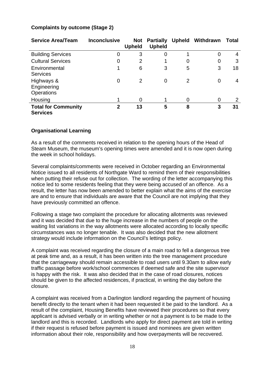| <b>Service Area/Team</b>                       | <b>Inconclusive</b> | <b>Not</b><br><b>Upheld</b> | <b>Partially</b><br><b>Upheld</b> | <b>Upheld</b> | Withdrawn | <b>Total</b> |
|------------------------------------------------|---------------------|-----------------------------|-----------------------------------|---------------|-----------|--------------|
| <b>Building Services</b>                       | 0                   | 3                           | 0                                 |               | 0         | 4            |
| <b>Cultural Services</b>                       | 0                   | $\overline{2}$              |                                   | 0             | 0         | 3            |
| Environmental<br><b>Services</b>               | 1                   | 6                           | 3                                 | 5             | 3         | 18           |
| Highways &<br>Engineering<br><b>Operations</b> | 0                   | 2                           | 0                                 | 2             | 0         | 4            |
| Housing                                        |                     | 0                           |                                   | 0             | 0         | 2            |
| <b>Total for Community</b><br><b>Services</b>  | $\mathbf{2}$        | 13                          | 5                                 | 8             | 3         | 31           |

#### **Complaints by outcome (Stage 2)**

#### **Organisational Learning**

As a result of the comments received in relation to the opening hours of the Head of Steam Museum, the museum's opening times were amended and it is now open during the week in school holidays.

Several complaints/comments were received in October regarding an Environmental Notice issued to all residents of Northgate Ward to remind them of their responsibilities when putting their refuse out for collection. The wording of the letter accompanying this notice led to some residents feeling that they were being accused of an offence. As a result, the letter has now been amended to better explain what the aims of the exercise are and to ensure that individuals are aware that the Council are not implying that they have previously committed an offence.

Following a stage two complaint the procedure for allocating allotments was reviewed and it was decided that due to the huge increase in the numbers of people on the waiting list variations in the way allotments were allocated according to locally specific circumstances was no longer tenable. It was also decided that the new allotment strategy would include information on the Council's lettings policy.

A complaint was received regarding the closure of a main road to fell a dangerous tree at peak time and, as a result, it has been written into the tree management procedure that the carriageway should remain accessible to road users until 9.30am to allow early traffic passage before work/school commences if deemed safe and the site supervisor is happy with the risk. It was also decided that in the case of road closures, notices should be given to the affected residences, if practical, in writing the day before the closure.

A complaint was received from a Darlington landlord regarding the payment of housing benefit directly to the tenant when it had been requested it be paid to the landlord. As a result of the complaint, Housing Benefits have reviewed their procedures so that every applicant is advised verbally or in writing whether or not a payment is to be made to the landlord and this is recorded. Landlords who apply for direct payment are told in writing if their request is refused before payment is issued and nominees are given written information about their role, responsibility and how overpayments will be recovered.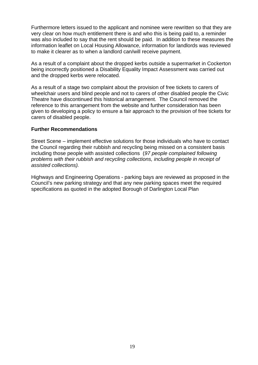Furthermore letters issued to the applicant and nominee were rewritten so that they are very clear on how much entitlement there is and who this is being paid to, a reminder was also included to say that the rent should be paid. In addition to these measures the information leaflet on Local Housing Allowance, information for landlords was reviewed to make it clearer as to when a landlord can/will receive payment.

As a result of a complaint about the dropped kerbs outside a supermarket in Cockerton being incorrectly positioned a Disability Equality Impact Assessment was carried out and the dropped kerbs were relocated.

As a result of a stage two complaint about the provision of free tickets to carers of wheelchair users and blind people and not to carers of other disabled people the Civic Theatre have discontinued this historical arrangement. The Council removed the reference to this arrangement from the website and further consideration has been given to developing a policy to ensure a fair approach to the provision of free tickets for carers of disabled people.

#### **Further Recommendations**

Street Scene – implement effective solutions for those individuals who have to contact the Council regarding their rubbish and recycling being missed on a consistent basis including those people with assisted collections (*97 people complained following problems with their rubbish and recycling collections, including people in receipt of assisted collections).*

Highways and Engineering Operations - parking bays are reviewed as proposed in the Council's new parking strategy and that any new parking spaces meet the required specifications as quoted in the adopted Borough of Darlington Local Plan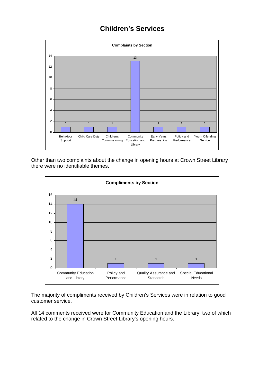# **Children's Services**



Other than two complaints about the change in opening hours at Crown Street Library there were no identifiable themes.



The majority of compliments received by Children's Services were in relation to good customer service.

All 14 comments received were for Community Education and the Library, two of which related to the change in Crown Street Library's opening hours.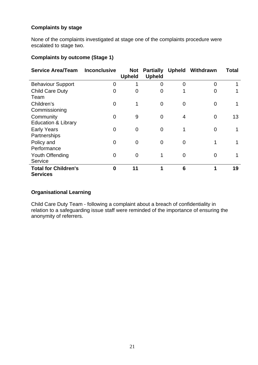#### **Complaints by stage**

None of the complaints investigated at stage one of the complaints procedure were escalated to stage two.

#### **Complaints by outcome (Stage 1)**

| <b>Service Area/Team</b>                       | <b>Inconclusive</b> | <b>Not</b><br><b>Upheld</b> | <b>Partially</b><br><b>Upheld</b> |                | <b>Upheld Withdrawn</b> | <b>Total</b> |
|------------------------------------------------|---------------------|-----------------------------|-----------------------------------|----------------|-------------------------|--------------|
| <b>Behaviour Support</b>                       | 0                   |                             | 0                                 | $\overline{0}$ | $\Omega$                |              |
| <b>Child Care Duty</b><br>Team                 | 0                   | 0                           | 0                                 | 1              | 0                       |              |
| Children's<br>Commissioning                    | 0                   | 1                           | $\Omega$                          | $\Omega$       | 0                       |              |
| Community<br><b>Education &amp; Library</b>    | 0                   | 9                           | $\Omega$                          | 4              | $\overline{0}$          | 13           |
| <b>Early Years</b><br>Partnerships             | 0                   | $\overline{0}$              | $\Omega$                          | 1              | 0                       |              |
| Policy and<br>Performance                      | 0                   | $\overline{0}$              | 0                                 | $\Omega$       |                         |              |
| Youth Offending<br>Service                     | 0                   | $\overline{0}$              |                                   | $\Omega$       | $\Omega$                |              |
| <b>Total for Children's</b><br><b>Services</b> | 0                   | 11                          | 1                                 | 6              | 1                       | 19           |

#### **Organisational Learning**

Child Care Duty Team - following a complaint about a breach of confidentiality in relation to a safeguarding issue staff were reminded of the importance of ensuring the anonymity of referrers.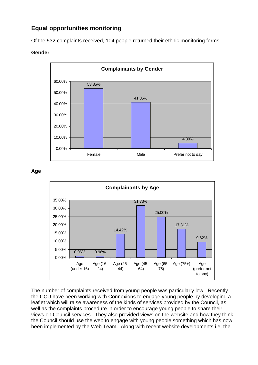# **Equal opportunities monitoring**

Of the 532 complaints received, 104 people returned their ethnic monitoring forms.

#### **Gender**



**Age** 



The number of complaints received from young people was particularly low. Recently the CCU have been working with Connexions to engage young people by developing a leaflet which will raise awareness of the kinds of services provided by the Council, as well as the complaints procedure in order to encourage young people to share their views on Council services. They also provided views on the website and how they think the Council should use the web to engage with young people something which has now been implemented by the Web Team. Along with recent website developments i.e. the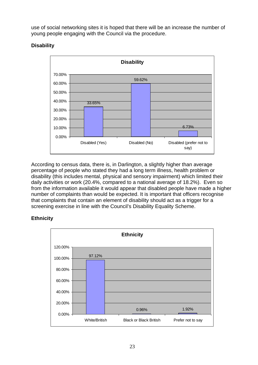use of social networking sites it is hoped that there will be an increase the number of young people engaging with the Council via the procedure.

## **Disability**



According to census data, there is, in Darlington, a slightly higher than average percentage of people who stated they had a long term illness, health problem or disability (this includes mental, physical and sensory impairment) which limited their daily activities or work (20.4%, compared to a national average of 18.2%). Even so from the information available it would appear that disabled people have made a higher number of complaints than would be expected. It is important that officers recognise that complaints that contain an element of disability should act as a trigger for a screening exercise in line with the Council's Disability Equality Scheme.

### **Ethnicity**

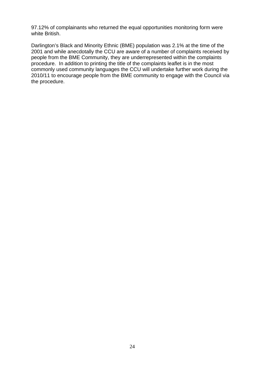97.12% of complainants who returned the equal opportunities monitoring form were white British.

Darlington's Black and Minority Ethnic (BME) population was 2.1% at the time of the 2001 and while anecdotally the CCU are aware of a number of complaints received by people from the BME Community, they are underrepresented within the complaints procedure. In addition to printing the title of the complaints leaflet is in the most commonly used community languages the CCU will undertake further work during the 2010/11 to encourage people from the BME community to engage with the Council via the procedure.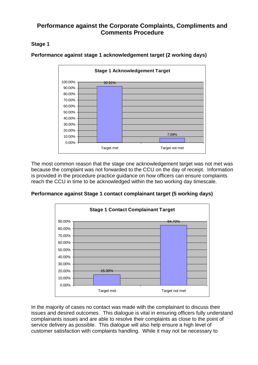## **Performance against the Corporate Complaints, Compliments and Comments Procedure**

#### **Stage 1**



**Performance against stage 1 acknowledgement target (2 working days)** 

The most common reason that the stage one acknowledgement target was not met was because the complaint was not forwarded to the CCU on the day of receipt. Information is provided in the procedure practice guidance on how officers can ensure complaints reach the CCU in time to be acknowledged within the two working day timescale.

**Performance against Stage 1 contact complainant target (5 working days)** 



In the majority of cases no contact was made with the complainant to discuss their issues and desired outcomes. This dialogue is vital in ensuring officers fully understand complainants issues and are able to resolve their complaints as close to the point of service delivery as possible. This dialogue will also help ensure a high level of customer satisfaction with complaints handling. While it may not be necessary to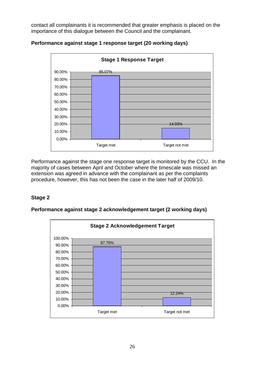contact all complainants it is recommended that greater emphasis is placed on the importance of this dialogue between the Council and the complainant.



#### **Performance against stage 1 response target (20 working days)**

Performance against the stage one response target is monitored by the CCU. In the majority of cases between April and October where the timescale was missed an extension was agreed in advance with the complainant as per the complaints procedure, however, this has not been the case in the later half of 2009/10.

#### **Stage 2**



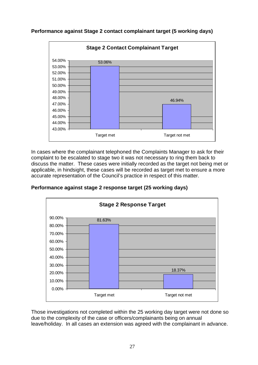**Performance against Stage 2 contact complainant target (5 working days)** 



In cases where the complainant telephoned the Complaints Manager to ask for their complaint to be escalated to stage two it was not necessary to ring them back to discuss the matter. These cases were initially recorded as the target not being met or applicable, in hindsight, these cases will be recorded as target met to ensure a more accurate representation of the Council's practice in respect of this matter.





Those investigations not completed within the 25 working day target were not done so due to the complexity of the case or officers/complainants being on annual leave/holiday. In all cases an extension was agreed with the complainant in advance.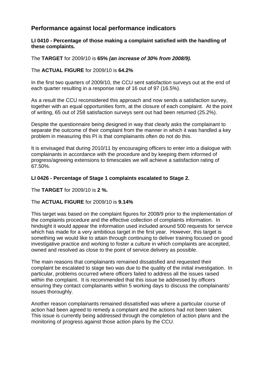# **Performance against local performance indicators**

#### **LI 0410 - Percentage of those making a complaint satisfied with the handling of these complaints.**

The **TARGET** for 2009/10 is **65%** *(an increase of 30% from 2008/9).*

#### The **ACTUAL FIGURE** for 2009/10 is **64.2%**

In the first two quarters of 2009/10, the CCU sent satisfaction surveys out at the end of each quarter resulting in a response rate of 16 out of 97 (16.5%).

As a result the CCU reconsidered this approach and now sends a satisfaction survey, together with an equal opportunities form, at the closure of each complaint. At the point of writing, 65 out of 258 satisfaction surveys sent out had been returned (25.2%).

Despite the questionnaire being designed in way that clearly asks the complainant to separate the outcome of their complaint from the manner in which it was handled a key problem in measuring this PI is that complainants often do not do this.

It is envisaged that during 2010/11 by encouraging officers to enter into a dialogue with complainants in accordance with the procedure and by keeping them informed of progress/agreeing extensions to timescales we will achieve a satisfaction rating of 67.50%.

#### **LI 0426 - Percentage of Stage 1 complaints escalated to Stage 2.**

The **TARGET** for 2009/10 is **2 %.**

#### The **ACTUAL FIGURE** for 2009/10 is **9.14%**

This target was based on the complaint figures for 2008/9 prior to the implementation of the complaints procedure and the effective collection of complaints information. In hindsight it would appear the information used included around 500 requests for service which has made for a very ambitious target in the first year. However, this target is something we would like to attain through continuing to deliver training focused on good investigative practice and working to foster a culture in which complaints are accepted, owned and resolved as close to the point of service delivery as possible.

The main reasons that complainants remained dissatisfied and requested their complaint be escalated to stage two was due to the quality of the initial investigation. In particular, problems occurred where officers failed to address all the issues raised within the complaint. It is recommended that this issue be addressed by officers ensuring they contact complainants within 5 working days to discuss the complainants' issues thoroughly.

Another reason complainants remained dissatisfied was where a particular course of action had been agreed to remedy a complaint and the actions had not been taken. This issue is currently being addressed through the completion of action plans and the monitoring of progress against those action plans by the CCU.